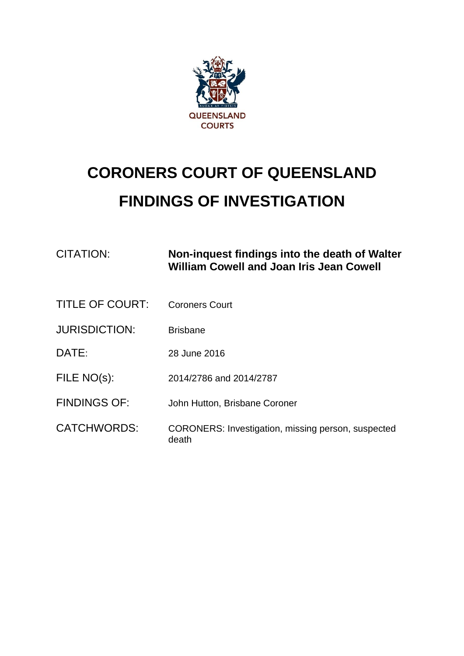

# **CORONERS COURT OF QUEENSLAND FINDINGS OF INVESTIGATION**

| <b>CITATION:</b>       | Non-inquest findings into the death of Walter<br><b>William Cowell and Joan Iris Jean Cowell</b> |
|------------------------|--------------------------------------------------------------------------------------------------|
| <b>TITLE OF COURT:</b> | <b>Coroners Court</b>                                                                            |
| <b>JURISDICTION:</b>   | <b>Brisbane</b>                                                                                  |
| DATE:                  | 28 June 2016                                                                                     |
| FILE NO(s):            | 2014/2786 and 2014/2787                                                                          |
| <b>FINDINGS OF:</b>    | John Hutton, Brisbane Coroner                                                                    |
| <b>CATCHWORDS:</b>     | CORONERS: Investigation, missing person, suspected<br>death                                      |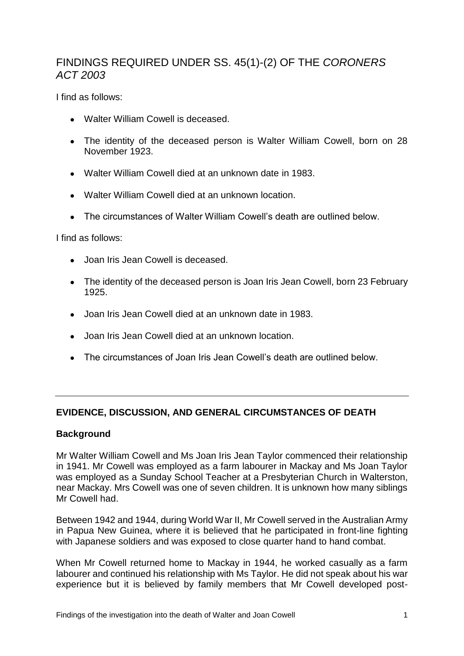## FINDINGS REQUIRED UNDER SS. 45(1)-(2) OF THE *CORONERS ACT 2003*

I find as follows:

- Walter William Cowell is deceased.
- The identity of the deceased person is Walter William Cowell, born on 28 November 1923.
- Walter William Cowell died at an unknown date in 1983.
- Walter William Cowell died at an unknown location.
- The circumstances of Walter William Cowell's death are outlined below.

I find as follows:

- Joan Iris Jean Cowell is deceased.
- The identity of the deceased person is Joan Iris Jean Cowell, born 23 February 1925.
- Joan Iris Jean Cowell died at an unknown date in 1983.
- Joan Iris Jean Cowell died at an unknown location.
- The circumstances of Joan Iris Jean Cowell's death are outlined below.

#### **EVIDENCE, DISCUSSION, AND GENERAL CIRCUMSTANCES OF DEATH**

#### **Background**

Mr Walter William Cowell and Ms Joan Iris Jean Taylor commenced their relationship in 1941. Mr Cowell was employed as a farm labourer in Mackay and Ms Joan Taylor was employed as a Sunday School Teacher at a Presbyterian Church in Walterston, near Mackay. Mrs Cowell was one of seven children. It is unknown how many siblings Mr Cowell had.

Between 1942 and 1944, during World War II, Mr Cowell served in the Australian Army in Papua New Guinea, where it is believed that he participated in front-line fighting with Japanese soldiers and was exposed to close quarter hand to hand combat.

When Mr Cowell returned home to Mackay in 1944, he worked casually as a farm labourer and continued his relationship with Ms Taylor. He did not speak about his war experience but it is believed by family members that Mr Cowell developed post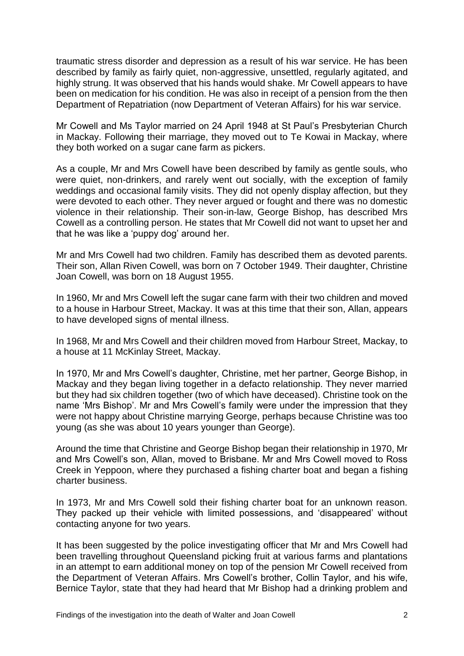traumatic stress disorder and depression as a result of his war service. He has been described by family as fairly quiet, non-aggressive, unsettled, regularly agitated, and highly strung. It was observed that his hands would shake. Mr Cowell appears to have been on medication for his condition. He was also in receipt of a pension from the then Department of Repatriation (now Department of Veteran Affairs) for his war service.

Mr Cowell and Ms Taylor married on 24 April 1948 at St Paul's Presbyterian Church in Mackay. Following their marriage, they moved out to Te Kowai in Mackay, where they both worked on a sugar cane farm as pickers.

As a couple, Mr and Mrs Cowell have been described by family as gentle souls, who were quiet, non-drinkers, and rarely went out socially, with the exception of family weddings and occasional family visits. They did not openly display affection, but they were devoted to each other. They never argued or fought and there was no domestic violence in their relationship. Their son-in-law, George Bishop, has described Mrs Cowell as a controlling person. He states that Mr Cowell did not want to upset her and that he was like a 'puppy dog' around her.

Mr and Mrs Cowell had two children. Family has described them as devoted parents. Their son, Allan Riven Cowell, was born on 7 October 1949. Their daughter, Christine Joan Cowell, was born on 18 August 1955.

In 1960, Mr and Mrs Cowell left the sugar cane farm with their two children and moved to a house in Harbour Street, Mackay. It was at this time that their son, Allan, appears to have developed signs of mental illness.

In 1968, Mr and Mrs Cowell and their children moved from Harbour Street, Mackay, to a house at 11 McKinlay Street, Mackay.

In 1970, Mr and Mrs Cowell's daughter, Christine, met her partner, George Bishop, in Mackay and they began living together in a defacto relationship. They never married but they had six children together (two of which have deceased). Christine took on the name 'Mrs Bishop'. Mr and Mrs Cowell's family were under the impression that they were not happy about Christine marrying George, perhaps because Christine was too young (as she was about 10 years younger than George).

Around the time that Christine and George Bishop began their relationship in 1970, Mr and Mrs Cowell's son, Allan, moved to Brisbane. Mr and Mrs Cowell moved to Ross Creek in Yeppoon, where they purchased a fishing charter boat and began a fishing charter business.

In 1973, Mr and Mrs Cowell sold their fishing charter boat for an unknown reason. They packed up their vehicle with limited possessions, and 'disappeared' without contacting anyone for two years.

It has been suggested by the police investigating officer that Mr and Mrs Cowell had been travelling throughout Queensland picking fruit at various farms and plantations in an attempt to earn additional money on top of the pension Mr Cowell received from the Department of Veteran Affairs. Mrs Cowell's brother, Collin Taylor, and his wife, Bernice Taylor, state that they had heard that Mr Bishop had a drinking problem and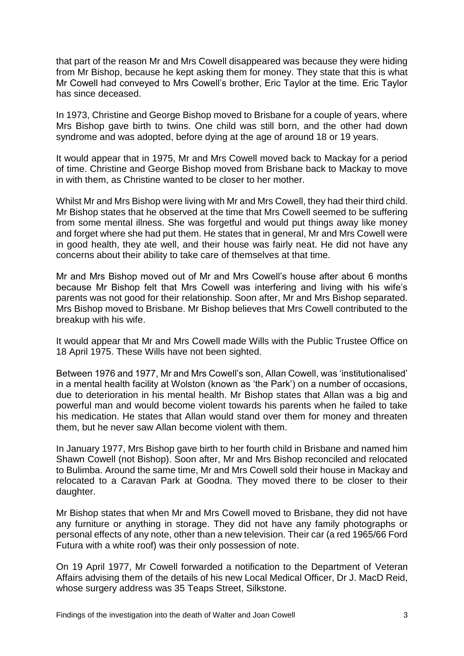that part of the reason Mr and Mrs Cowell disappeared was because they were hiding from Mr Bishop, because he kept asking them for money. They state that this is what Mr Cowell had conveyed to Mrs Cowell's brother, Eric Taylor at the time. Eric Taylor has since deceased.

In 1973, Christine and George Bishop moved to Brisbane for a couple of years, where Mrs Bishop gave birth to twins. One child was still born, and the other had down syndrome and was adopted, before dying at the age of around 18 or 19 years.

It would appear that in 1975, Mr and Mrs Cowell moved back to Mackay for a period of time. Christine and George Bishop moved from Brisbane back to Mackay to move in with them, as Christine wanted to be closer to her mother.

Whilst Mr and Mrs Bishop were living with Mr and Mrs Cowell, they had their third child. Mr Bishop states that he observed at the time that Mrs Cowell seemed to be suffering from some mental illness. She was forgetful and would put things away like money and forget where she had put them. He states that in general, Mr and Mrs Cowell were in good health, they ate well, and their house was fairly neat. He did not have any concerns about their ability to take care of themselves at that time.

Mr and Mrs Bishop moved out of Mr and Mrs Cowell's house after about 6 months because Mr Bishop felt that Mrs Cowell was interfering and living with his wife's parents was not good for their relationship. Soon after, Mr and Mrs Bishop separated. Mrs Bishop moved to Brisbane. Mr Bishop believes that Mrs Cowell contributed to the breakup with his wife.

It would appear that Mr and Mrs Cowell made Wills with the Public Trustee Office on 18 April 1975. These Wills have not been sighted.

Between 1976 and 1977, Mr and Mrs Cowell's son, Allan Cowell, was 'institutionalised' in a mental health facility at Wolston (known as 'the Park') on a number of occasions, due to deterioration in his mental health. Mr Bishop states that Allan was a big and powerful man and would become violent towards his parents when he failed to take his medication. He states that Allan would stand over them for money and threaten them, but he never saw Allan become violent with them.

In January 1977, Mrs Bishop gave birth to her fourth child in Brisbane and named him Shawn Cowell (not Bishop). Soon after, Mr and Mrs Bishop reconciled and relocated to Bulimba. Around the same time, Mr and Mrs Cowell sold their house in Mackay and relocated to a Caravan Park at Goodna. They moved there to be closer to their daughter.

Mr Bishop states that when Mr and Mrs Cowell moved to Brisbane, they did not have any furniture or anything in storage. They did not have any family photographs or personal effects of any note, other than a new television. Their car (a red 1965/66 Ford Futura with a white roof) was their only possession of note.

On 19 April 1977, Mr Cowell forwarded a notification to the Department of Veteran Affairs advising them of the details of his new Local Medical Officer, Dr J. MacD Reid, whose surgery address was 35 Teaps Street, Silkstone.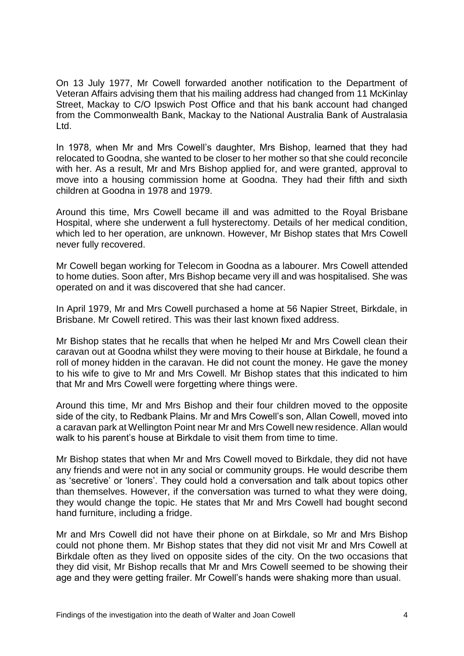On 13 July 1977, Mr Cowell forwarded another notification to the Department of Veteran Affairs advising them that his mailing address had changed from 11 McKinlay Street, Mackay to C/O Ipswich Post Office and that his bank account had changed from the Commonwealth Bank, Mackay to the National Australia Bank of Australasia Ltd.

In 1978, when Mr and Mrs Cowell's daughter, Mrs Bishop, learned that they had relocated to Goodna, she wanted to be closer to her mother so that she could reconcile with her. As a result, Mr and Mrs Bishop applied for, and were granted, approval to move into a housing commission home at Goodna. They had their fifth and sixth children at Goodna in 1978 and 1979.

Around this time, Mrs Cowell became ill and was admitted to the Royal Brisbane Hospital, where she underwent a full hysterectomy. Details of her medical condition, which led to her operation, are unknown. However, Mr Bishop states that Mrs Cowell never fully recovered.

Mr Cowell began working for Telecom in Goodna as a labourer. Mrs Cowell attended to home duties. Soon after, Mrs Bishop became very ill and was hospitalised. She was operated on and it was discovered that she had cancer.

In April 1979, Mr and Mrs Cowell purchased a home at 56 Napier Street, Birkdale, in Brisbane. Mr Cowell retired. This was their last known fixed address.

Mr Bishop states that he recalls that when he helped Mr and Mrs Cowell clean their caravan out at Goodna whilst they were moving to their house at Birkdale, he found a roll of money hidden in the caravan. He did not count the money. He gave the money to his wife to give to Mr and Mrs Cowell. Mr Bishop states that this indicated to him that Mr and Mrs Cowell were forgetting where things were.

Around this time, Mr and Mrs Bishop and their four children moved to the opposite side of the city, to Redbank Plains. Mr and Mrs Cowell's son, Allan Cowell, moved into a caravan park at Wellington Point near Mr and Mrs Cowell new residence. Allan would walk to his parent's house at Birkdale to visit them from time to time.

Mr Bishop states that when Mr and Mrs Cowell moved to Birkdale, they did not have any friends and were not in any social or community groups. He would describe them as 'secretive' or 'loners'. They could hold a conversation and talk about topics other than themselves. However, if the conversation was turned to what they were doing, they would change the topic. He states that Mr and Mrs Cowell had bought second hand furniture, including a fridge.

Mr and Mrs Cowell did not have their phone on at Birkdale, so Mr and Mrs Bishop could not phone them. Mr Bishop states that they did not visit Mr and Mrs Cowell at Birkdale often as they lived on opposite sides of the city. On the two occasions that they did visit, Mr Bishop recalls that Mr and Mrs Cowell seemed to be showing their age and they were getting frailer. Mr Cowell's hands were shaking more than usual.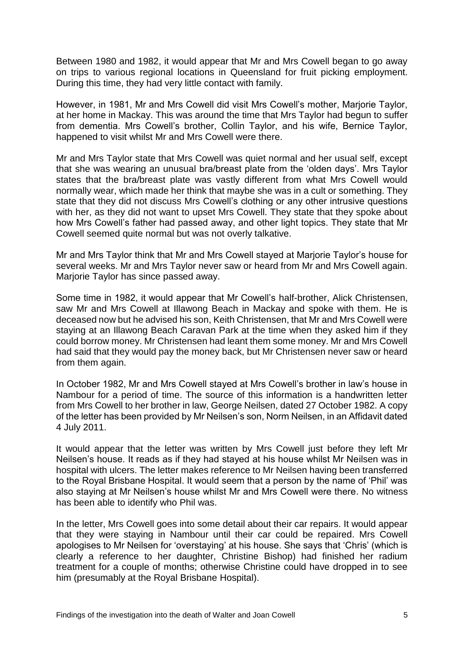Between 1980 and 1982, it would appear that Mr and Mrs Cowell began to go away on trips to various regional locations in Queensland for fruit picking employment. During this time, they had very little contact with family.

However, in 1981, Mr and Mrs Cowell did visit Mrs Cowell's mother, Marjorie Taylor, at her home in Mackay. This was around the time that Mrs Taylor had begun to suffer from dementia. Mrs Cowell's brother, Collin Taylor, and his wife, Bernice Taylor, happened to visit whilst Mr and Mrs Cowell were there.

Mr and Mrs Taylor state that Mrs Cowell was quiet normal and her usual self, except that she was wearing an unusual bra/breast plate from the 'olden days'. Mrs Taylor states that the bra/breast plate was vastly different from what Mrs Cowell would normally wear, which made her think that maybe she was in a cult or something. They state that they did not discuss Mrs Cowell's clothing or any other intrusive questions with her, as they did not want to upset Mrs Cowell. They state that they spoke about how Mrs Cowell's father had passed away, and other light topics. They state that Mr Cowell seemed quite normal but was not overly talkative.

Mr and Mrs Taylor think that Mr and Mrs Cowell stayed at Marjorie Taylor's house for several weeks. Mr and Mrs Taylor never saw or heard from Mr and Mrs Cowell again. Marjorie Taylor has since passed away.

Some time in 1982, it would appear that Mr Cowell's half-brother, Alick Christensen, saw Mr and Mrs Cowell at Illawong Beach in Mackay and spoke with them. He is deceased now but he advised his son, Keith Christensen, that Mr and Mrs Cowell were staying at an Illawong Beach Caravan Park at the time when they asked him if they could borrow money. Mr Christensen had leant them some money. Mr and Mrs Cowell had said that they would pay the money back, but Mr Christensen never saw or heard from them again.

In October 1982, Mr and Mrs Cowell stayed at Mrs Cowell's brother in law's house in Nambour for a period of time. The source of this information is a handwritten letter from Mrs Cowell to her brother in law, George Neilsen, dated 27 October 1982. A copy of the letter has been provided by Mr Neilsen's son, Norm Neilsen, in an Affidavit dated 4 July 2011.

It would appear that the letter was written by Mrs Cowell just before they left Mr Neilsen's house. It reads as if they had stayed at his house whilst Mr Neilsen was in hospital with ulcers. The letter makes reference to Mr Neilsen having been transferred to the Royal Brisbane Hospital. It would seem that a person by the name of 'Phil' was also staying at Mr Neilsen's house whilst Mr and Mrs Cowell were there. No witness has been able to identify who Phil was.

In the letter, Mrs Cowell goes into some detail about their car repairs. It would appear that they were staying in Nambour until their car could be repaired. Mrs Cowell apologises to Mr Neilsen for 'overstaying' at his house. She says that 'Chris' (which is clearly a reference to her daughter, Christine Bishop) had finished her radium treatment for a couple of months; otherwise Christine could have dropped in to see him (presumably at the Royal Brisbane Hospital).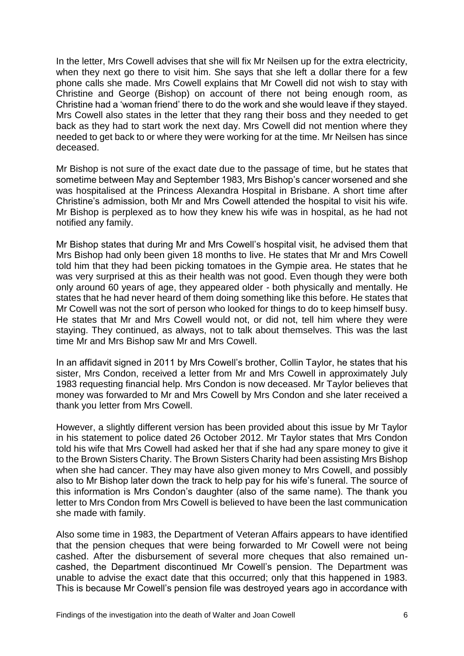In the letter, Mrs Cowell advises that she will fix Mr Neilsen up for the extra electricity, when they next go there to visit him. She says that she left a dollar there for a few phone calls she made. Mrs Cowell explains that Mr Cowell did not wish to stay with Christine and George (Bishop) on account of there not being enough room, as Christine had a 'woman friend' there to do the work and she would leave if they stayed. Mrs Cowell also states in the letter that they rang their boss and they needed to get back as they had to start work the next day. Mrs Cowell did not mention where they needed to get back to or where they were working for at the time. Mr Neilsen has since deceased.

Mr Bishop is not sure of the exact date due to the passage of time, but he states that sometime between May and September 1983, Mrs Bishop's cancer worsened and she was hospitalised at the Princess Alexandra Hospital in Brisbane. A short time after Christine's admission, both Mr and Mrs Cowell attended the hospital to visit his wife. Mr Bishop is perplexed as to how they knew his wife was in hospital, as he had not notified any family.

Mr Bishop states that during Mr and Mrs Cowell's hospital visit, he advised them that Mrs Bishop had only been given 18 months to live. He states that Mr and Mrs Cowell told him that they had been picking tomatoes in the Gympie area. He states that he was very surprised at this as their health was not good. Even though they were both only around 60 years of age, they appeared older - both physically and mentally. He states that he had never heard of them doing something like this before. He states that Mr Cowell was not the sort of person who looked for things to do to keep himself busy. He states that Mr and Mrs Cowell would not, or did not, tell him where they were staying. They continued, as always, not to talk about themselves. This was the last time Mr and Mrs Bishop saw Mr and Mrs Cowell.

In an affidavit signed in 2011 by Mrs Cowell's brother, Collin Taylor, he states that his sister, Mrs Condon, received a letter from Mr and Mrs Cowell in approximately July 1983 requesting financial help. Mrs Condon is now deceased. Mr Taylor believes that money was forwarded to Mr and Mrs Cowell by Mrs Condon and she later received a thank you letter from Mrs Cowell.

However, a slightly different version has been provided about this issue by Mr Taylor in his statement to police dated 26 October 2012. Mr Taylor states that Mrs Condon told his wife that Mrs Cowell had asked her that if she had any spare money to give it to the Brown Sisters Charity. The Brown Sisters Charity had been assisting Mrs Bishop when she had cancer. They may have also given money to Mrs Cowell, and possibly also to Mr Bishop later down the track to help pay for his wife's funeral. The source of this information is Mrs Condon's daughter (also of the same name). The thank you letter to Mrs Condon from Mrs Cowell is believed to have been the last communication she made with family.

Also some time in 1983, the Department of Veteran Affairs appears to have identified that the pension cheques that were being forwarded to Mr Cowell were not being cashed. After the disbursement of several more cheques that also remained uncashed, the Department discontinued Mr Cowell's pension. The Department was unable to advise the exact date that this occurred; only that this happened in 1983. This is because Mr Cowell's pension file was destroyed years ago in accordance with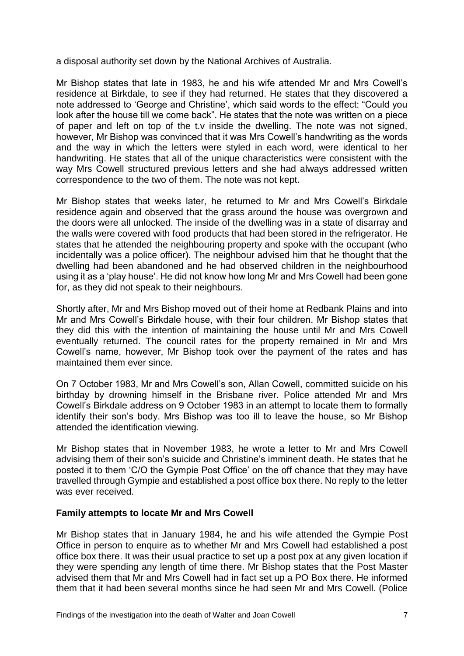a disposal authority set down by the National Archives of Australia.

Mr Bishop states that late in 1983, he and his wife attended Mr and Mrs Cowell's residence at Birkdale, to see if they had returned. He states that they discovered a note addressed to 'George and Christine', which said words to the effect: "Could you look after the house till we come back". He states that the note was written on a piece of paper and left on top of the t.v inside the dwelling. The note was not signed, however, Mr Bishop was convinced that it was Mrs Cowell's handwriting as the words and the way in which the letters were styled in each word, were identical to her handwriting. He states that all of the unique characteristics were consistent with the way Mrs Cowell structured previous letters and she had always addressed written correspondence to the two of them. The note was not kept.

Mr Bishop states that weeks later, he returned to Mr and Mrs Cowell's Birkdale residence again and observed that the grass around the house was overgrown and the doors were all unlocked. The inside of the dwelling was in a state of disarray and the walls were covered with food products that had been stored in the refrigerator. He states that he attended the neighbouring property and spoke with the occupant (who incidentally was a police officer). The neighbour advised him that he thought that the dwelling had been abandoned and he had observed children in the neighbourhood using it as a 'play house'. He did not know how long Mr and Mrs Cowell had been gone for, as they did not speak to their neighbours.

Shortly after, Mr and Mrs Bishop moved out of their home at Redbank Plains and into Mr and Mrs Cowell's Birkdale house, with their four children. Mr Bishop states that they did this with the intention of maintaining the house until Mr and Mrs Cowell eventually returned. The council rates for the property remained in Mr and Mrs Cowell's name, however, Mr Bishop took over the payment of the rates and has maintained them ever since.

On 7 October 1983, Mr and Mrs Cowell's son, Allan Cowell, committed suicide on his birthday by drowning himself in the Brisbane river. Police attended Mr and Mrs Cowell's Birkdale address on 9 October 1983 in an attempt to locate them to formally identify their son's body. Mrs Bishop was too ill to leave the house, so Mr Bishop attended the identification viewing.

Mr Bishop states that in November 1983, he wrote a letter to Mr and Mrs Cowell advising them of their son's suicide and Christine's imminent death. He states that he posted it to them 'C/O the Gympie Post Office' on the off chance that they may have travelled through Gympie and established a post office box there. No reply to the letter was ever received.

#### **Family attempts to locate Mr and Mrs Cowell**

Mr Bishop states that in January 1984, he and his wife attended the Gympie Post Office in person to enquire as to whether Mr and Mrs Cowell had established a post office box there. It was their usual practice to set up a post pox at any given location if they were spending any length of time there. Mr Bishop states that the Post Master advised them that Mr and Mrs Cowell had in fact set up a PO Box there. He informed them that it had been several months since he had seen Mr and Mrs Cowell. (Police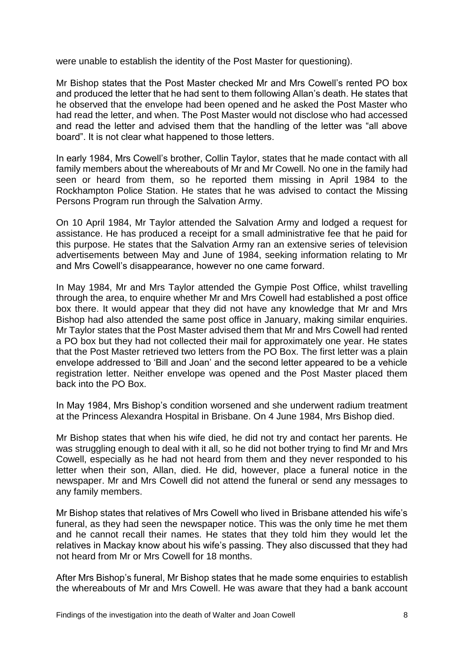were unable to establish the identity of the Post Master for questioning).

Mr Bishop states that the Post Master checked Mr and Mrs Cowell's rented PO box and produced the letter that he had sent to them following Allan's death. He states that he observed that the envelope had been opened and he asked the Post Master who had read the letter, and when. The Post Master would not disclose who had accessed and read the letter and advised them that the handling of the letter was "all above board". It is not clear what happened to those letters.

In early 1984, Mrs Cowell's brother, Collin Taylor, states that he made contact with all family members about the whereabouts of Mr and Mr Cowell. No one in the family had seen or heard from them, so he reported them missing in April 1984 to the Rockhampton Police Station. He states that he was advised to contact the Missing Persons Program run through the Salvation Army.

On 10 April 1984, Mr Taylor attended the Salvation Army and lodged a request for assistance. He has produced a receipt for a small administrative fee that he paid for this purpose. He states that the Salvation Army ran an extensive series of television advertisements between May and June of 1984, seeking information relating to Mr and Mrs Cowell's disappearance, however no one came forward.

In May 1984, Mr and Mrs Taylor attended the Gympie Post Office, whilst travelling through the area, to enquire whether Mr and Mrs Cowell had established a post office box there. It would appear that they did not have any knowledge that Mr and Mrs Bishop had also attended the same post office in January, making similar enquiries. Mr Taylor states that the Post Master advised them that Mr and Mrs Cowell had rented a PO box but they had not collected their mail for approximately one year. He states that the Post Master retrieved two letters from the PO Box. The first letter was a plain envelope addressed to 'Bill and Joan' and the second letter appeared to be a vehicle registration letter. Neither envelope was opened and the Post Master placed them back into the PO Box.

In May 1984, Mrs Bishop's condition worsened and she underwent radium treatment at the Princess Alexandra Hospital in Brisbane. On 4 June 1984, Mrs Bishop died.

Mr Bishop states that when his wife died, he did not try and contact her parents. He was struggling enough to deal with it all, so he did not bother trying to find Mr and Mrs Cowell, especially as he had not heard from them and they never responded to his letter when their son, Allan, died. He did, however, place a funeral notice in the newspaper. Mr and Mrs Cowell did not attend the funeral or send any messages to any family members.

Mr Bishop states that relatives of Mrs Cowell who lived in Brisbane attended his wife's funeral, as they had seen the newspaper notice. This was the only time he met them and he cannot recall their names. He states that they told him they would let the relatives in Mackay know about his wife's passing. They also discussed that they had not heard from Mr or Mrs Cowell for 18 months.

After Mrs Bishop's funeral, Mr Bishop states that he made some enquiries to establish the whereabouts of Mr and Mrs Cowell. He was aware that they had a bank account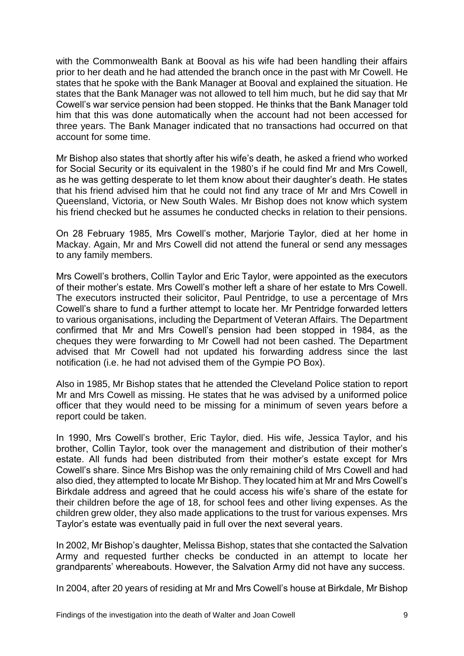with the Commonwealth Bank at Booval as his wife had been handling their affairs prior to her death and he had attended the branch once in the past with Mr Cowell. He states that he spoke with the Bank Manager at Booval and explained the situation. He states that the Bank Manager was not allowed to tell him much, but he did say that Mr Cowell's war service pension had been stopped. He thinks that the Bank Manager told him that this was done automatically when the account had not been accessed for three years. The Bank Manager indicated that no transactions had occurred on that account for some time.

Mr Bishop also states that shortly after his wife's death, he asked a friend who worked for Social Security or its equivalent in the 1980's if he could find Mr and Mrs Cowell, as he was getting desperate to let them know about their daughter's death. He states that his friend advised him that he could not find any trace of Mr and Mrs Cowell in Queensland, Victoria, or New South Wales. Mr Bishop does not know which system his friend checked but he assumes he conducted checks in relation to their pensions.

On 28 February 1985, Mrs Cowell's mother, Marjorie Taylor, died at her home in Mackay. Again, Mr and Mrs Cowell did not attend the funeral or send any messages to any family members.

Mrs Cowell's brothers, Collin Taylor and Eric Taylor, were appointed as the executors of their mother's estate. Mrs Cowell's mother left a share of her estate to Mrs Cowell. The executors instructed their solicitor, Paul Pentridge, to use a percentage of Mrs Cowell's share to fund a further attempt to locate her. Mr Pentridge forwarded letters to various organisations, including the Department of Veteran Affairs. The Department confirmed that Mr and Mrs Cowell's pension had been stopped in 1984, as the cheques they were forwarding to Mr Cowell had not been cashed. The Department advised that Mr Cowell had not updated his forwarding address since the last notification (i.e. he had not advised them of the Gympie PO Box).

Also in 1985, Mr Bishop states that he attended the Cleveland Police station to report Mr and Mrs Cowell as missing. He states that he was advised by a uniformed police officer that they would need to be missing for a minimum of seven years before a report could be taken.

In 1990, Mrs Cowell's brother, Eric Taylor, died. His wife, Jessica Taylor, and his brother, Collin Taylor, took over the management and distribution of their mother's estate. All funds had been distributed from their mother's estate except for Mrs Cowell's share. Since Mrs Bishop was the only remaining child of Mrs Cowell and had also died, they attempted to locate Mr Bishop. They located him at Mr and Mrs Cowell's Birkdale address and agreed that he could access his wife's share of the estate for their children before the age of 18, for school fees and other living expenses. As the children grew older, they also made applications to the trust for various expenses. Mrs Taylor's estate was eventually paid in full over the next several years.

In 2002, Mr Bishop's daughter, Melissa Bishop, states that she contacted the Salvation Army and requested further checks be conducted in an attempt to locate her grandparents' whereabouts. However, the Salvation Army did not have any success.

In 2004, after 20 years of residing at Mr and Mrs Cowell's house at Birkdale, Mr Bishop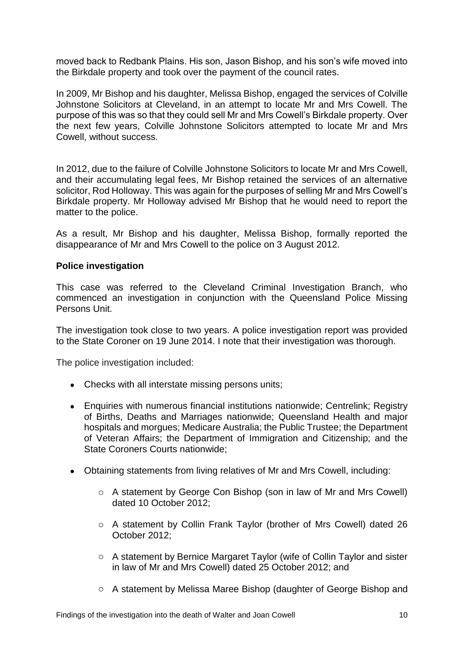moved back to Redbank Plains. His son, Jason Bishop, and his son's wife moved into the Birkdale property and took over the payment of the council rates.

In 2009, Mr Bishop and his daughter, Melissa Bishop, engaged the services of Colville Johnstone Solicitors at Cleveland, in an attempt to locate Mr and Mrs Cowell. The purpose of this was so that they could sell Mr and Mrs Cowell's Birkdale property. Over the next few years, Colville Johnstone Solicitors attempted to locate Mr and Mrs Cowell, without success.

In 2012, due to the failure of Colville Johnstone Solicitors to locate Mr and Mrs Cowell, and their accumulating legal fees, Mr Bishop retained the services of an alternative solicitor, Rod Holloway. This was again for the purposes of selling Mr and Mrs Cowell's Birkdale property. Mr Holloway advised Mr Bishop that he would need to report the matter to the police.

As a result, Mr Bishop and his daughter, Melissa Bishop, formally reported the disappearance of Mr and Mrs Cowell to the police on 3 August 2012.

#### **Police investigation**

This case was referred to the Cleveland Criminal Investigation Branch, who commenced an investigation in conjunction with the Queensland Police Missing Persons Unit.

The investigation took close to two years. A police investigation report was provided to the State Coroner on 19 June 2014. I note that their investigation was thorough.

The police investigation included:

- Checks with all interstate missing persons units;
- Enquiries with numerous financial institutions nationwide; Centrelink; Registry of Births, Deaths and Marriages nationwide; Queensland Health and major hospitals and morgues; Medicare Australia; the Public Trustee; the Department of Veteran Affairs; the Department of Immigration and Citizenship; and the State Coroners Courts nationwide;
- Obtaining statements from living relatives of Mr and Mrs Cowell, including:
	- o A statement by George Con Bishop (son in law of Mr and Mrs Cowell) dated 10 October 2012;
	- o A statement by Collin Frank Taylor (brother of Mrs Cowell) dated 26 October 2012;
	- o A statement by Bernice Margaret Taylor (wife of Collin Taylor and sister in law of Mr and Mrs Cowell) dated 25 October 2012; and
	- o A statement by Melissa Maree Bishop (daughter of George Bishop and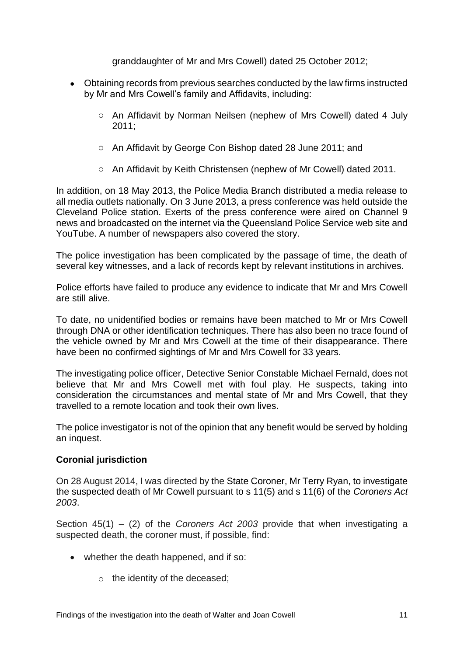granddaughter of Mr and Mrs Cowell) dated 25 October 2012;

- Obtaining records from previous searches conducted by the law firms instructed by Mr and Mrs Cowell's family and Affidavits, including:
	- o An Affidavit by Norman Neilsen (nephew of Mrs Cowell) dated 4 July 2011;
	- o An Affidavit by George Con Bishop dated 28 June 2011; and
	- o An Affidavit by Keith Christensen (nephew of Mr Cowell) dated 2011.

In addition, on 18 May 2013, the Police Media Branch distributed a media release to all media outlets nationally. On 3 June 2013, a press conference was held outside the Cleveland Police station. Exerts of the press conference were aired on Channel 9 news and broadcasted on the internet via the Queensland Police Service web site and YouTube. A number of newspapers also covered the story.

The police investigation has been complicated by the passage of time, the death of several key witnesses, and a lack of records kept by relevant institutions in archives.

Police efforts have failed to produce any evidence to indicate that Mr and Mrs Cowell are still alive.

To date, no unidentified bodies or remains have been matched to Mr or Mrs Cowell through DNA or other identification techniques. There has also been no trace found of the vehicle owned by Mr and Mrs Cowell at the time of their disappearance. There have been no confirmed sightings of Mr and Mrs Cowell for 33 years.

The investigating police officer, Detective Senior Constable Michael Fernald, does not believe that Mr and Mrs Cowell met with foul play. He suspects, taking into consideration the circumstances and mental state of Mr and Mrs Cowell, that they travelled to a remote location and took their own lives.

The police investigator is not of the opinion that any benefit would be served by holding an inquest.

### **Coronial jurisdiction**

On 28 August 2014, I was directed by the State Coroner, Mr Terry Ryan, to investigate the suspected death of Mr Cowell pursuant to s 11(5) and s 11(6) of the *Coroners Act 2003*.

Section 45(1) – (2) of the *Coroners Act 2003* provide that when investigating a suspected death, the coroner must, if possible, find:

- whether the death happened, and if so:
	- o the identity of the deceased;